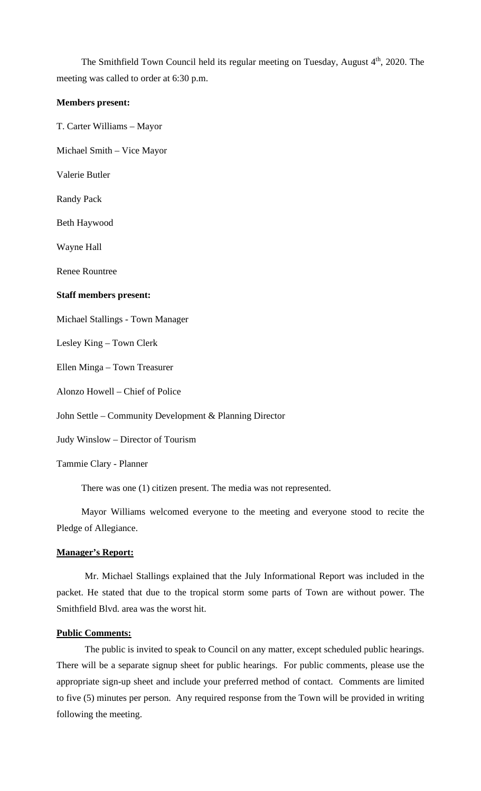The Smithfield Town Council held its regular meeting on Tuesday, August 4<sup>th</sup>, 2020. The meeting was called to order at 6:30 p.m.

#### **Members present:**

T. Carter Williams – Mayor

Michael Smith – Vice Mayor

Valerie Butler

Randy Pack

Beth Haywood

Wayne Hall

Renee Rountree

#### **Staff members present:**

Michael Stallings - Town Manager

Lesley King – Town Clerk

Ellen Minga – Town Treasurer

Alonzo Howell – Chief of Police

John Settle – Community Development & Planning Director

Judy Winslow – Director of Tourism

Tammie Clary - Planner

There was one (1) citizen present. The media was not represented.

Mayor Williams welcomed everyone to the meeting and everyone stood to recite the Pledge of Allegiance.

#### **Manager's Report:**

Mr. Michael Stallings explained that the July Informational Report was included in the packet. He stated that due to the tropical storm some parts of Town are without power. The Smithfield Blvd. area was the worst hit.

#### **Public Comments:**

The public is invited to speak to Council on any matter, except scheduled public hearings. There will be a separate signup sheet for public hearings. For public comments, please use the appropriate sign-up sheet and include your preferred method of contact. Comments are limited to five (5) minutes per person. Any required response from the Town will be provided in writing following the meeting.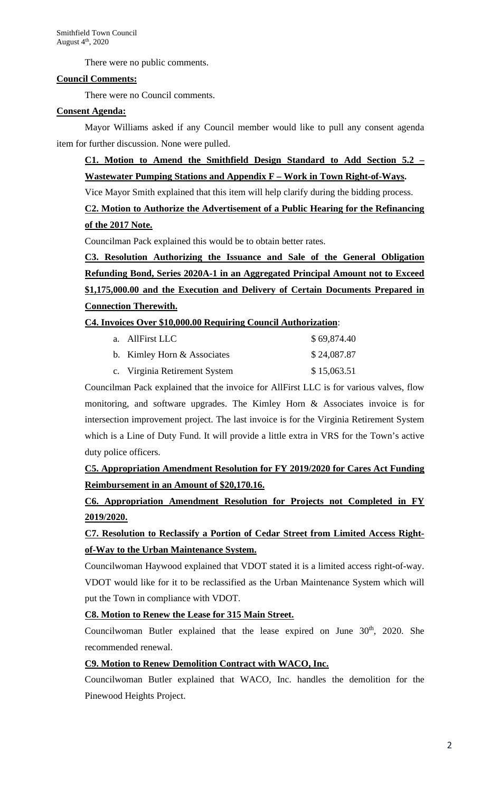There were no public comments.

## **Council Comments:**

There were no Council comments.

### **Consent Agenda:**

Mayor Williams asked if any Council member would like to pull any consent agenda item for further discussion. None were pulled.

# **C1. Motion to Amend the Smithfield Design Standard to Add Section 5.2 – Wastewater Pumping Stations and Appendix F – Work in Town Right-of-Ways.**

Vice Mayor Smith explained that this item will help clarify during the bidding process.

# **C2. Motion to Authorize the Advertisement of a Public Hearing for the Refinancing of the 2017 Note.**

Councilman Pack explained this would be to obtain better rates.

**C3. Resolution Authorizing the Issuance and Sale of the General Obligation Refunding Bond, Series 2020A-1 in an Aggregated Principal Amount not to Exceed \$1,175,000.00 and the Execution and Delivery of Certain Documents Prepared in Connection Therewith.** 

## **C4. Invoices Over \$10,000.00 Requiring Council Authorization**:

| a. AllFirst LLC               | \$69,874.40 |
|-------------------------------|-------------|
| b. Kimley Horn & Associates   | \$24,087.87 |
| c. Virginia Retirement System | \$15,063.51 |

Councilman Pack explained that the invoice for AllFirst LLC is for various valves, flow monitoring, and software upgrades. The Kimley Horn & Associates invoice is for intersection improvement project. The last invoice is for the Virginia Retirement System which is a Line of Duty Fund. It will provide a little extra in VRS for the Town's active duty police officers.

**C5. Appropriation Amendment Resolution for FY 2019/2020 for Cares Act Funding Reimbursement in an Amount of \$20,170.16.**

**C6. Appropriation Amendment Resolution for Projects not Completed in FY 2019/2020.**

# **C7. Resolution to Reclassify a Portion of Cedar Street from Limited Access Rightof-Way to the Urban Maintenance System.**

Councilwoman Haywood explained that VDOT stated it is a limited access right-of-way. VDOT would like for it to be reclassified as the Urban Maintenance System which will put the Town in compliance with VDOT.

## **C8. Motion to Renew the Lease for 315 Main Street.**

Councilwoman Butler explained that the lease expired on June 30<sup>th</sup>, 2020. She recommended renewal.

## **C9. Motion to Renew Demolition Contract with WACO, Inc.**

Councilwoman Butler explained that WACO, Inc. handles the demolition for the Pinewood Heights Project.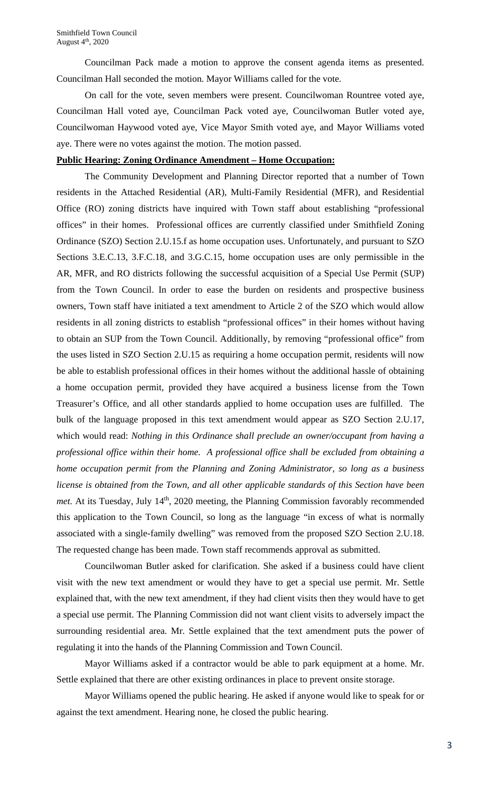Councilman Pack made a motion to approve the consent agenda items as presented. Councilman Hall seconded the motion. Mayor Williams called for the vote.

On call for the vote, seven members were present. Councilwoman Rountree voted aye, Councilman Hall voted aye, Councilman Pack voted aye, Councilwoman Butler voted aye, Councilwoman Haywood voted aye, Vice Mayor Smith voted aye, and Mayor Williams voted aye. There were no votes against the motion. The motion passed.

### **Public Hearing: Zoning Ordinance Amendment – Home Occupation:**

The Community Development and Planning Director reported that a number of Town residents in the Attached Residential (AR), Multi-Family Residential (MFR), and Residential Office (RO) zoning districts have inquired with Town staff about establishing "professional offices" in their homes. Professional offices are currently classified under Smithfield Zoning Ordinance (SZO) Section 2.U.15.f as home occupation uses. Unfortunately, and pursuant to SZO Sections 3.E.C.13, 3.F.C.18, and 3.G.C.15, home occupation uses are only permissible in the AR, MFR, and RO districts following the successful acquisition of a Special Use Permit (SUP) from the Town Council. In order to ease the burden on residents and prospective business owners, Town staff have initiated a text amendment to Article 2 of the SZO which would allow residents in all zoning districts to establish "professional offices" in their homes without having to obtain an SUP from the Town Council. Additionally, by removing "professional office" from the uses listed in SZO Section 2.U.15 as requiring a home occupation permit, residents will now be able to establish professional offices in their homes without the additional hassle of obtaining a home occupation permit, provided they have acquired a business license from the Town Treasurer's Office, and all other standards applied to home occupation uses are fulfilled. The bulk of the language proposed in this text amendment would appear as SZO Section 2.U.17, which would read: *Nothing in this Ordinance shall preclude an owner/occupant from having a professional office within their home. A professional office shall be excluded from obtaining a home occupation permit from the Planning and Zoning Administrator, so long as a business license is obtained from the Town, and all other applicable standards of this Section have been met*. At its Tuesday, July 14<sup>th</sup>, 2020 meeting, the Planning Commission favorably recommended this application to the Town Council, so long as the language "in excess of what is normally associated with a single-family dwelling" was removed from the proposed SZO Section 2.U.18. The requested change has been made. Town staff recommends approval as submitted.

Councilwoman Butler asked for clarification. She asked if a business could have client visit with the new text amendment or would they have to get a special use permit. Mr. Settle explained that, with the new text amendment, if they had client visits then they would have to get a special use permit. The Planning Commission did not want client visits to adversely impact the surrounding residential area. Mr. Settle explained that the text amendment puts the power of regulating it into the hands of the Planning Commission and Town Council.

Mayor Williams asked if a contractor would be able to park equipment at a home. Mr. Settle explained that there are other existing ordinances in place to prevent onsite storage.

Mayor Williams opened the public hearing. He asked if anyone would like to speak for or against the text amendment. Hearing none, he closed the public hearing.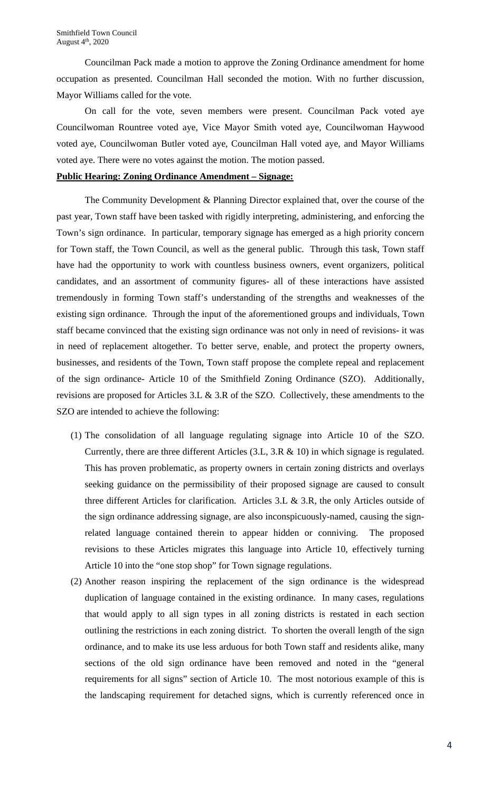Councilman Pack made a motion to approve the Zoning Ordinance amendment for home occupation as presented. Councilman Hall seconded the motion. With no further discussion, Mayor Williams called for the vote.

On call for the vote, seven members were present. Councilman Pack voted aye Councilwoman Rountree voted aye, Vice Mayor Smith voted aye, Councilwoman Haywood voted aye, Councilwoman Butler voted aye, Councilman Hall voted aye, and Mayor Williams voted aye. There were no votes against the motion. The motion passed.

#### **Public Hearing: Zoning Ordinance Amendment – Signage:**

The Community Development & Planning Director explained that, over the course of the past year, Town staff have been tasked with rigidly interpreting, administering, and enforcing the Town's sign ordinance. In particular, temporary signage has emerged as a high priority concern for Town staff, the Town Council, as well as the general public. Through this task, Town staff have had the opportunity to work with countless business owners, event organizers, political candidates, and an assortment of community figures- all of these interactions have assisted tremendously in forming Town staff's understanding of the strengths and weaknesses of the existing sign ordinance. Through the input of the aforementioned groups and individuals, Town staff became convinced that the existing sign ordinance was not only in need of revisions- it was in need of replacement altogether. To better serve, enable, and protect the property owners, businesses, and residents of the Town, Town staff propose the complete repeal and replacement of the sign ordinance- Article 10 of the Smithfield Zoning Ordinance (SZO). Additionally, revisions are proposed for Articles 3.L & 3.R of the SZO. Collectively, these amendments to the SZO are intended to achieve the following:

- (1) The consolidation of all language regulating signage into Article 10 of the SZO. Currently, there are three different Articles (3.L, 3.R & 10) in which signage is regulated. This has proven problematic, as property owners in certain zoning districts and overlays seeking guidance on the permissibility of their proposed signage are caused to consult three different Articles for clarification. Articles 3.L & 3.R, the only Articles outside of the sign ordinance addressing signage, are also inconspicuously-named, causing the signrelated language contained therein to appear hidden or conniving. The proposed revisions to these Articles migrates this language into Article 10, effectively turning Article 10 into the "one stop shop" for Town signage regulations.
- (2) Another reason inspiring the replacement of the sign ordinance is the widespread duplication of language contained in the existing ordinance. In many cases, regulations that would apply to all sign types in all zoning districts is restated in each section outlining the restrictions in each zoning district. To shorten the overall length of the sign ordinance, and to make its use less arduous for both Town staff and residents alike, many sections of the old sign ordinance have been removed and noted in the "general requirements for all signs" section of Article 10. The most notorious example of this is the landscaping requirement for detached signs, which is currently referenced once in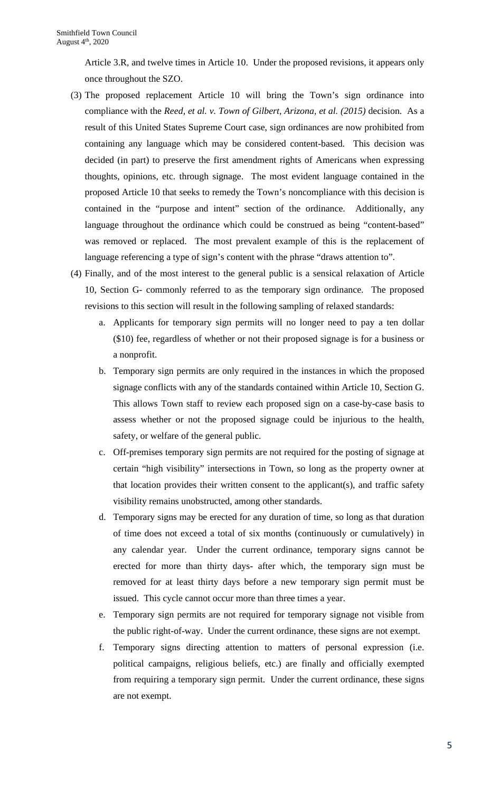Article 3.R, and twelve times in Article 10. Under the proposed revisions, it appears only once throughout the SZO.

- (3) The proposed replacement Article 10 will bring the Town's sign ordinance into compliance with the *Reed, et al. v. Town of Gilbert, Arizona, et al. (2015)* decision. As a result of this United States Supreme Court case, sign ordinances are now prohibited from containing any language which may be considered content-based. This decision was decided (in part) to preserve the first amendment rights of Americans when expressing thoughts, opinions, etc. through signage. The most evident language contained in the proposed Article 10 that seeks to remedy the Town's noncompliance with this decision is contained in the "purpose and intent" section of the ordinance. Additionally, any language throughout the ordinance which could be construed as being "content-based" was removed or replaced. The most prevalent example of this is the replacement of language referencing a type of sign's content with the phrase "draws attention to".
- (4) Finally, and of the most interest to the general public is a sensical relaxation of Article 10, Section G- commonly referred to as the temporary sign ordinance. The proposed revisions to this section will result in the following sampling of relaxed standards:
	- a. Applicants for temporary sign permits will no longer need to pay a ten dollar (\$10) fee, regardless of whether or not their proposed signage is for a business or a nonprofit.
	- b. Temporary sign permits are only required in the instances in which the proposed signage conflicts with any of the standards contained within Article 10, Section G. This allows Town staff to review each proposed sign on a case-by-case basis to assess whether or not the proposed signage could be injurious to the health, safety, or welfare of the general public.
	- c. Off-premises temporary sign permits are not required for the posting of signage at certain "high visibility" intersections in Town, so long as the property owner at that location provides their written consent to the applicant(s), and traffic safety visibility remains unobstructed, among other standards.
	- d. Temporary signs may be erected for any duration of time, so long as that duration of time does not exceed a total of six months (continuously or cumulatively) in any calendar year. Under the current ordinance, temporary signs cannot be erected for more than thirty days- after which, the temporary sign must be removed for at least thirty days before a new temporary sign permit must be issued. This cycle cannot occur more than three times a year.
	- e. Temporary sign permits are not required for temporary signage not visible from the public right-of-way. Under the current ordinance, these signs are not exempt.
	- f. Temporary signs directing attention to matters of personal expression (i.e. political campaigns, religious beliefs, etc.) are finally and officially exempted from requiring a temporary sign permit. Under the current ordinance, these signs are not exempt.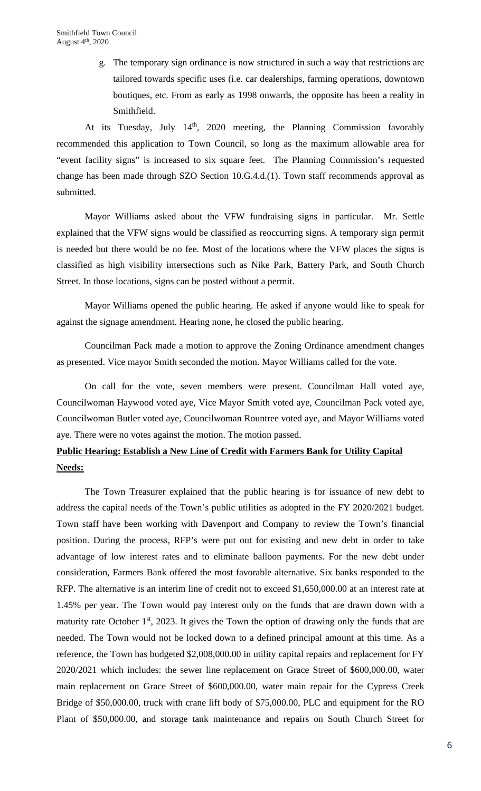g. The temporary sign ordinance is now structured in such a way that restrictions are tailored towards specific uses (i.e. car dealerships, farming operations, downtown boutiques, etc. From as early as 1998 onwards, the opposite has been a reality in Smithfield.

At its Tuesday, July  $14<sup>th</sup>$ , 2020 meeting, the Planning Commission favorably recommended this application to Town Council, so long as the maximum allowable area for "event facility signs" is increased to six square feet. The Planning Commission's requested change has been made through SZO Section 10.G.4.d.(1). Town staff recommends approval as submitted.

Mayor Williams asked about the VFW fundraising signs in particular. Mr. Settle explained that the VFW signs would be classified as reoccurring signs. A temporary sign permit is needed but there would be no fee. Most of the locations where the VFW places the signs is classified as high visibility intersections such as Nike Park, Battery Park, and South Church Street. In those locations, signs can be posted without a permit.

Mayor Williams opened the public hearing. He asked if anyone would like to speak for against the signage amendment. Hearing none, he closed the public hearing.

Councilman Pack made a motion to approve the Zoning Ordinance amendment changes as presented. Vice mayor Smith seconded the motion. Mayor Williams called for the vote.

On call for the vote, seven members were present. Councilman Hall voted aye, Councilwoman Haywood voted aye, Vice Mayor Smith voted aye, Councilman Pack voted aye, Councilwoman Butler voted aye, Councilwoman Rountree voted aye, and Mayor Williams voted aye. There were no votes against the motion. The motion passed.

# **Public Hearing: Establish a New Line of Credit with Farmers Bank for Utility Capital Needs:**

The Town Treasurer explained that the public hearing is for issuance of new debt to address the capital needs of the Town's public utilities as adopted in the FY 2020/2021 budget. Town staff have been working with Davenport and Company to review the Town's financial position. During the process, RFP's were put out for existing and new debt in order to take advantage of low interest rates and to eliminate balloon payments. For the new debt under consideration, Farmers Bank offered the most favorable alternative. Six banks responded to the RFP. The alternative is an interim line of credit not to exceed \$1,650,000.00 at an interest rate at 1.45% per year. The Town would pay interest only on the funds that are drawn down with a maturity rate October  $1<sup>st</sup>$ , 2023. It gives the Town the option of drawing only the funds that are needed. The Town would not be locked down to a defined principal amount at this time. As a reference, the Town has budgeted \$2,008,000.00 in utility capital repairs and replacement for FY 2020/2021 which includes: the sewer line replacement on Grace Street of \$600,000.00, water main replacement on Grace Street of \$600,000.00, water main repair for the Cypress Creek Bridge of \$50,000.00, truck with crane lift body of \$75,000.00, PLC and equipment for the RO Plant of \$50,000.00, and storage tank maintenance and repairs on South Church Street for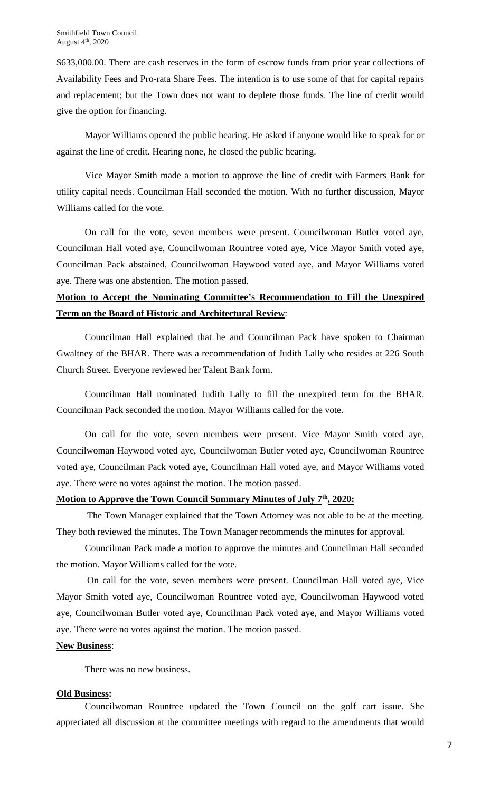\$633,000.00. There are cash reserves in the form of escrow funds from prior year collections of Availability Fees and Pro-rata Share Fees. The intention is to use some of that for capital repairs and replacement; but the Town does not want to deplete those funds. The line of credit would give the option for financing.

Mayor Williams opened the public hearing. He asked if anyone would like to speak for or against the line of credit. Hearing none, he closed the public hearing.

Vice Mayor Smith made a motion to approve the line of credit with Farmers Bank for utility capital needs. Councilman Hall seconded the motion. With no further discussion, Mayor Williams called for the vote.

On call for the vote, seven members were present. Councilwoman Butler voted aye, Councilman Hall voted aye, Councilwoman Rountree voted aye, Vice Mayor Smith voted aye, Councilman Pack abstained, Councilwoman Haywood voted aye, and Mayor Williams voted aye. There was one abstention. The motion passed.

# **Motion to Accept the Nominating Committee's Recommendation to Fill the Unexpired Term on the Board of Historic and Architectural Review**:

Councilman Hall explained that he and Councilman Pack have spoken to Chairman Gwaltney of the BHAR. There was a recommendation of Judith Lally who resides at 226 South Church Street. Everyone reviewed her Talent Bank form.

Councilman Hall nominated Judith Lally to fill the unexpired term for the BHAR. Councilman Pack seconded the motion. Mayor Williams called for the vote.

On call for the vote, seven members were present. Vice Mayor Smith voted aye, Councilwoman Haywood voted aye, Councilwoman Butler voted aye, Councilwoman Rountree voted aye, Councilman Pack voted aye, Councilman Hall voted aye, and Mayor Williams voted aye. There were no votes against the motion. The motion passed.

### **Motion to Approve the Town Council Summary Minutes of July 7<sup>th</sup>, 2020:**

The Town Manager explained that the Town Attorney was not able to be at the meeting. They both reviewed the minutes. The Town Manager recommends the minutes for approval.

Councilman Pack made a motion to approve the minutes and Councilman Hall seconded the motion. Mayor Williams called for the vote.

On call for the vote, seven members were present. Councilman Hall voted aye, Vice Mayor Smith voted aye, Councilwoman Rountree voted aye, Councilwoman Haywood voted aye, Councilwoman Butler voted aye, Councilman Pack voted aye, and Mayor Williams voted aye. There were no votes against the motion. The motion passed.

## **New Business**:

There was no new business.

### **Old Business:**

Councilwoman Rountree updated the Town Council on the golf cart issue. She appreciated all discussion at the committee meetings with regard to the amendments that would